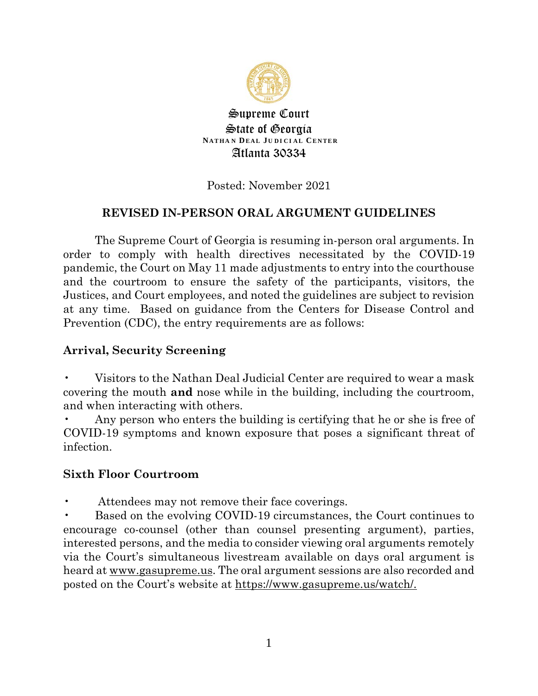

Supreme Court State of Georgia **NATHA N DE AL J U D I C I A L CENTER** Atlanta 30334

### Posted: November 2021

#### **REVISED IN-PERSON ORAL ARGUMENT GUIDELINES**

The Supreme Court of Georgia is resuming in-person oral arguments. In order to comply with health directives necessitated by the COVID-19 pandemic, the Court on May 11 made adjustments to entry into the courthouse and the courtroom to ensure the safety of the participants, visitors, the Justices, and Court employees, and noted the guidelines are subject to revision at any time. Based on guidance from the Centers for Disease Control and Prevention (CDC), the entry requirements are as follows:

#### **Arrival, Security Screening**

• Visitors to the Nathan Deal Judicial Center are required to wear a mask covering the mouth **and** nose while in the building, including the courtroom, and when interacting with others.

Any person who enters the building is certifying that he or she is free of COVID-19 symptoms and known exposure that poses a significant threat of infection.

#### **Sixth Floor Courtroom**

Attendees may not remove their face coverings.

• Based on the evolving COVID-19 circumstances, the Court continues to encourage co-counsel (other than counsel presenting argument), parties, interested persons, and the media to consider viewing oral arguments remotely via the Court's simultaneous livestream available on days oral argument is heard at www.gasupreme.us. The oral argument sessions are also recorded and posted on the Court's website at https://www.gasupreme.us/watch/.